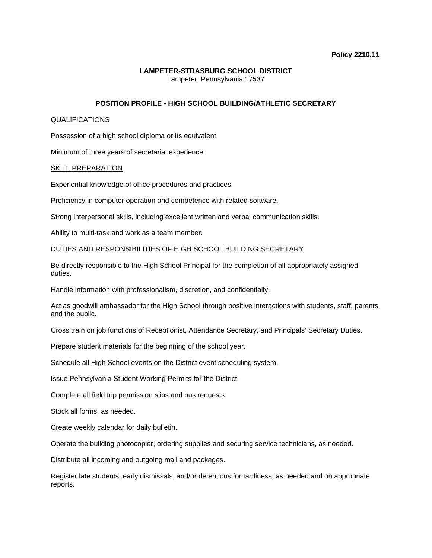## **LAMPETER-STRASBURG SCHOOL DISTRICT**  Lampeter, Pennsylvania 17537

# **POSITION PROFILE - HIGH SCHOOL BUILDING/ATHLETIC SECRETARY**

### QUALIFICATIONS

Possession of a high school diploma or its equivalent.

Minimum of three years of secretarial experience.

### SKILL PREPARATION

Experiential knowledge of office procedures and practices.

Proficiency in computer operation and competence with related software.

Strong interpersonal skills, including excellent written and verbal communication skills.

Ability to multi-task and work as a team member.

### DUTIES AND RESPONSIBILITIES OF HIGH SCHOOL BUILDING SECRETARY

Be directly responsible to the High School Principal for the completion of all appropriately assigned duties.

Handle information with professionalism, discretion, and confidentially.

Act as goodwill ambassador for the High School through positive interactions with students, staff, parents, and the public.

Cross train on job functions of Receptionist, Attendance Secretary, and Principals' Secretary Duties.

Prepare student materials for the beginning of the school year.

Schedule all High School events on the District event scheduling system.

Issue Pennsylvania Student Working Permits for the District.

Complete all field trip permission slips and bus requests.

Stock all forms, as needed.

Create weekly calendar for daily bulletin.

Operate the building photocopier, ordering supplies and securing service technicians, as needed.

Distribute all incoming and outgoing mail and packages.

Register late students, early dismissals, and/or detentions for tardiness, as needed and on appropriate reports.